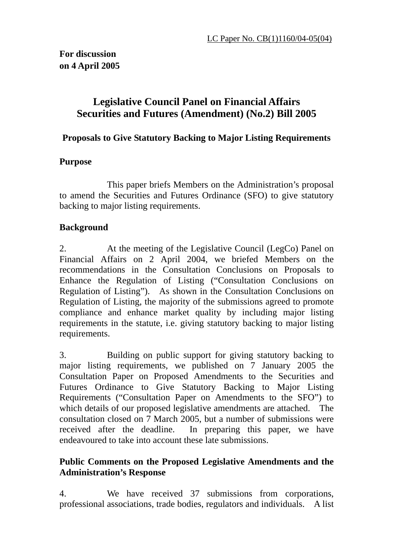# **Legislative Council Panel on Financial Affairs Securities and Futures (Amendment) (No.2) Bill 2005**

**Proposals to Give Statutory Backing to Major Listing Requirements** 

### **Purpose**

 This paper briefs Members on the Administration's proposal to amend the Securities and Futures Ordinance (SFO) to give statutory backing to major listing requirements.

# **Background**

2. At the meeting of the Legislative Council (LegCo) Panel on Financial Affairs on 2 April 2004, we briefed Members on the recommendations in the Consultation Conclusions on Proposals to Enhance the Regulation of Listing ("Consultation Conclusions on Regulation of Listing"). As shown in the Consultation Conclusions on Regulation of Listing, the majority of the submissions agreed to promote compliance and enhance market quality by including major listing requirements in the statute, i.e. giving statutory backing to major listing requirements.

3. Building on public support for giving statutory backing to major listing requirements, we published on 7 January 2005 the Consultation Paper on Proposed Amendments to the Securities and Futures Ordinance to Give Statutory Backing to Major Listing Requirements ("Consultation Paper on Amendments to the SFO") to which details of our proposed legislative amendments are attached. The consultation closed on 7 March 2005, but a number of submissions were received after the deadline. In preparing this paper, we have endeavoured to take into account these late submissions.

### **Public Comments on the Proposed Legislative Amendments and the Administration's Response**

4. We have received 37 submissions from corporations, professional associations, trade bodies, regulators and individuals. A list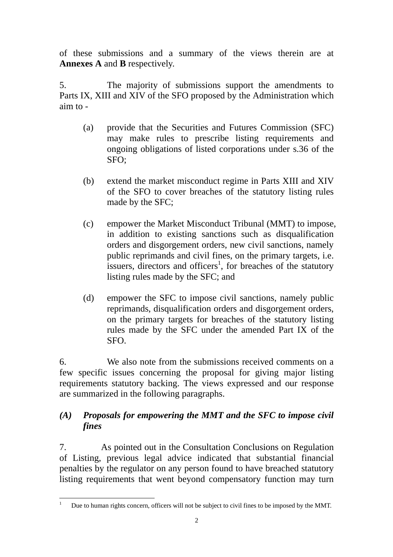of these submissions and a summary of the views therein are at **Annexes A** and **B** respectively.

5. The majority of submissions support the amendments to Parts IX, XIII and XIV of the SFO proposed by the Administration which aim to -

- (a) provide that the Securities and Futures Commission (SFC) may make rules to prescribe listing requirements and ongoing obligations of listed corporations under s.36 of the SFO;
- (b) extend the market misconduct regime in Parts XIII and XIV of the SFO to cover breaches of the statutory listing rules made by the SFC;
- (c) empower the Market Misconduct Tribunal (MMT) to impose, in addition to existing sanctions such as disqualification orders and disgorgement orders, new civil sanctions, namely public reprimands and civil fines, on the primary targets, i.e. issuers, directors and officers<sup>1</sup>, for breaches of the statutory listing rules made by the SFC; and
- (d) empower the SFC to impose civil sanctions, namely public reprimands, disqualification orders and disgorgement orders, on the primary targets for breaches of the statutory listing rules made by the SFC under the amended Part IX of the SFO.

6. We also note from the submissions received comments on a few specific issues concerning the proposal for giving major listing requirements statutory backing. The views expressed and our response are summarized in the following paragraphs.

### *(A) Proposals for empowering the MMT and the SFC to impose civil fines*

7. As pointed out in the Consultation Conclusions on Regulation of Listing, previous legal advice indicated that substantial financial penalties by the regulator on any person found to have breached statutory listing requirements that went beyond compensatory function may turn

 $\frac{1}{1}$ Due to human rights concern, officers will not be subject to civil fines to be imposed by the MMT.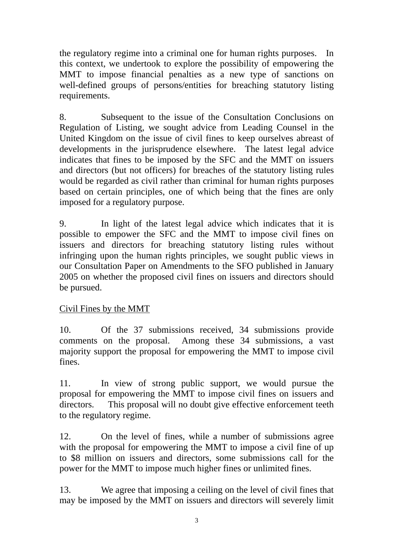the regulatory regime into a criminal one for human rights purposes. In this context, we undertook to explore the possibility of empowering the MMT to impose financial penalties as a new type of sanctions on well-defined groups of persons/entities for breaching statutory listing requirements.

8. Subsequent to the issue of the Consultation Conclusions on Regulation of Listing, we sought advice from Leading Counsel in the United Kingdom on the issue of civil fines to keep ourselves abreast of developments in the jurisprudence elsewhere. The latest legal advice indicates that fines to be imposed by the SFC and the MMT on issuers and directors (but not officers) for breaches of the statutory listing rules would be regarded as civil rather than criminal for human rights purposes based on certain principles, one of which being that the fines are only imposed for a regulatory purpose.

9. In light of the latest legal advice which indicates that it is possible to empower the SFC and the MMT to impose civil fines on issuers and directors for breaching statutory listing rules without infringing upon the human rights principles, we sought public views in our Consultation Paper on Amendments to the SFO published in January 2005 on whether the proposed civil fines on issuers and directors should be pursued.

# Civil Fines by the MMT

10. Of the 37 submissions received, 34 submissions provide comments on the proposal. Among these 34 submissions, a vast majority support the proposal for empowering the MMT to impose civil fines.

11. In view of strong public support, we would pursue the proposal for empowering the MMT to impose civil fines on issuers and directors. This proposal will no doubt give effective enforcement teeth to the regulatory regime.

12. On the level of fines, while a number of submissions agree with the proposal for empowering the MMT to impose a civil fine of up to \$8 million on issuers and directors, some submissions call for the power for the MMT to impose much higher fines or unlimited fines.

13. We agree that imposing a ceiling on the level of civil fines that may be imposed by the MMT on issuers and directors will severely limit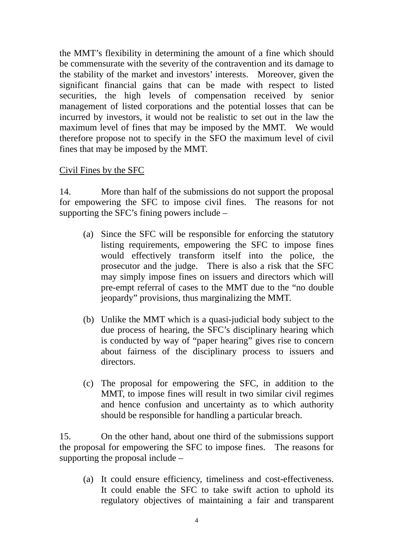the MMT's flexibility in determining the amount of a fine which should be commensurate with the severity of the contravention and its damage to the stability of the market and investors' interests. Moreover, given the significant financial gains that can be made with respect to listed securities, the high levels of compensation received by senior management of listed corporations and the potential losses that can be incurred by investors, it would not be realistic to set out in the law the maximum level of fines that may be imposed by the MMT. We would therefore propose not to specify in the SFO the maximum level of civil fines that may be imposed by the MMT.

### Civil Fines by the SFC

14. More than half of the submissions do not support the proposal for empowering the SFC to impose civil fines. The reasons for not supporting the SFC's fining powers include –

- (a) Since the SFC will be responsible for enforcing the statutory listing requirements, empowering the SFC to impose fines would effectively transform itself into the police, the prosecutor and the judge. There is also a risk that the SFC may simply impose fines on issuers and directors which will pre-empt referral of cases to the MMT due to the "no double jeopardy" provisions, thus marginalizing the MMT.
- (b) Unlike the MMT which is a quasi-judicial body subject to the due process of hearing, the SFC's disciplinary hearing which is conducted by way of "paper hearing" gives rise to concern about fairness of the disciplinary process to issuers and directors.
- (c) The proposal for empowering the SFC, in addition to the MMT, to impose fines will result in two similar civil regimes and hence confusion and uncertainty as to which authority should be responsible for handling a particular breach.

15. On the other hand, about one third of the submissions support the proposal for empowering the SFC to impose fines. The reasons for supporting the proposal include –

(a) It could ensure efficiency, timeliness and cost-effectiveness. It could enable the SFC to take swift action to uphold its regulatory objectives of maintaining a fair and transparent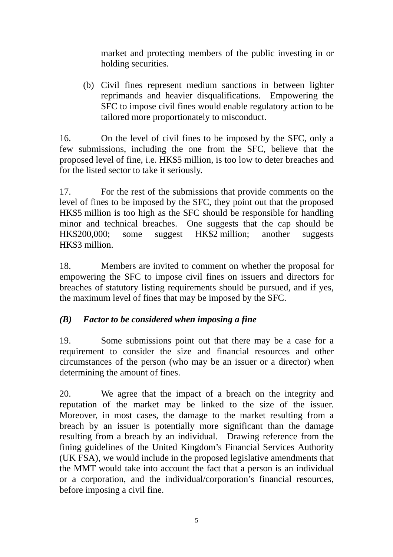market and protecting members of the public investing in or holding securities.

(b) Civil fines represent medium sanctions in between lighter reprimands and heavier disqualifications. Empowering the SFC to impose civil fines would enable regulatory action to be tailored more proportionately to misconduct.

16. On the level of civil fines to be imposed by the SFC, only a few submissions, including the one from the SFC, believe that the proposed level of fine, i.e. HK\$5 million, is too low to deter breaches and for the listed sector to take it seriously.

17. For the rest of the submissions that provide comments on the level of fines to be imposed by the SFC, they point out that the proposed HK\$5 million is too high as the SFC should be responsible for handling minor and technical breaches. One suggests that the cap should be HK\$200,000; some suggest HK\$2 million; another suggests HK\$3 million.

18. Members are invited to comment on whether the proposal for empowering the SFC to impose civil fines on issuers and directors for breaches of statutory listing requirements should be pursued, and if yes, the maximum level of fines that may be imposed by the SFC.

# *(B) Factor to be considered when imposing a fine*

19. Some submissions point out that there may be a case for a requirement to consider the size and financial resources and other circumstances of the person (who may be an issuer or a director) when determining the amount of fines.

20. We agree that the impact of a breach on the integrity and reputation of the market may be linked to the size of the issuer. Moreover, in most cases, the damage to the market resulting from a breach by an issuer is potentially more significant than the damage resulting from a breach by an individual. Drawing reference from the fining guidelines of the United Kingdom's Financial Services Authority (UK FSA), we would include in the proposed legislative amendments that the MMT would take into account the fact that a person is an individual or a corporation, and the individual/corporation's financial resources, before imposing a civil fine.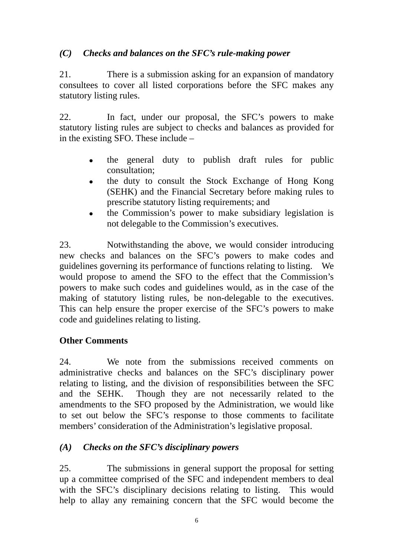# *(C) Checks and balances on the SFC's rule-making power*

21. There is a submission asking for an expansion of mandatory consultees to cover all listed corporations before the SFC makes any statutory listing rules.

22. In fact, under our proposal, the SFC's powers to make statutory listing rules are subject to checks and balances as provided for in the existing SFO. These include –

- ! the general duty to publish draft rules for public consultation;
- the duty to consult the Stock Exchange of Hong Kong (SEHK) and the Financial Secretary before making rules to prescribe statutory listing requirements; and
- ! the Commission's power to make subsidiary legislation is not delegable to the Commission's executives.

23. Notwithstanding the above, we would consider introducing new checks and balances on the SFC's powers to make codes and guidelines governing its performance of functions relating to listing. We would propose to amend the SFO to the effect that the Commission's powers to make such codes and guidelines would, as in the case of the making of statutory listing rules, be non-delegable to the executives. This can help ensure the proper exercise of the SFC's powers to make code and guidelines relating to listing.

# **Other Comments**

24. We note from the submissions received comments on administrative checks and balances on the SFC's disciplinary power relating to listing, and the division of responsibilities between the SFC and the SEHK. Though they are not necessarily related to the amendments to the SFO proposed by the Administration, we would like to set out below the SFC's response to those comments to facilitate members' consideration of the Administration's legislative proposal.

# *(A) Checks on the SFC's disciplinary powers*

25. The submissions in general support the proposal for setting up a committee comprised of the SFC and independent members to deal with the SFC's disciplinary decisions relating to listing. This would help to allay any remaining concern that the SFC would become the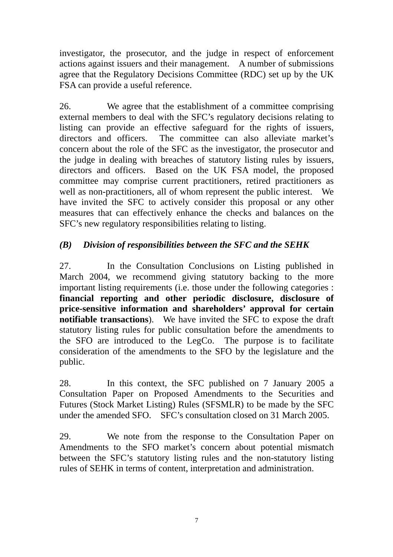investigator, the prosecutor, and the judge in respect of enforcement actions against issuers and their management. A number of submissions agree that the Regulatory Decisions Committee (RDC) set up by the UK FSA can provide a useful reference.

26. We agree that the establishment of a committee comprising external members to deal with the SFC's regulatory decisions relating to listing can provide an effective safeguard for the rights of issuers, directors and officers. The committee can also alleviate market's concern about the role of the SFC as the investigator, the prosecutor and the judge in dealing with breaches of statutory listing rules by issuers, directors and officers. Based on the UK FSA model, the proposed committee may comprise current practitioners, retired practitioners as well as non-practitioners, all of whom represent the public interest. We have invited the SFC to actively consider this proposal or any other measures that can effectively enhance the checks and balances on the SFC's new regulatory responsibilities relating to listing.

# *(B) Division of responsibilities between the SFC and the SEHK*

27. In the Consultation Conclusions on Listing published in March 2004, we recommend giving statutory backing to the more important listing requirements (i.e. those under the following categories : **financial reporting and other periodic disclosure, disclosure of price-sensitive information and shareholders' approval for certain notifiable transactions**).We have invited the SFC to expose the draft statutory listing rules for public consultation before the amendments to the SFO are introduced to the LegCo. The purpose is to facilitate consideration of the amendments to the SFO by the legislature and the public.

28. In this context, the SFC published on 7 January 2005 a Consultation Paper on Proposed Amendments to the Securities and Futures (Stock Market Listing) Rules (SFSMLR) to be made by the SFC under the amended SFO. SFC's consultation closed on 31 March 2005.

29. We note from the response to the Consultation Paper on Amendments to the SFO market's concern about potential mismatch between the SFC's statutory listing rules and the non-statutory listing rules of SEHK in terms of content, interpretation and administration.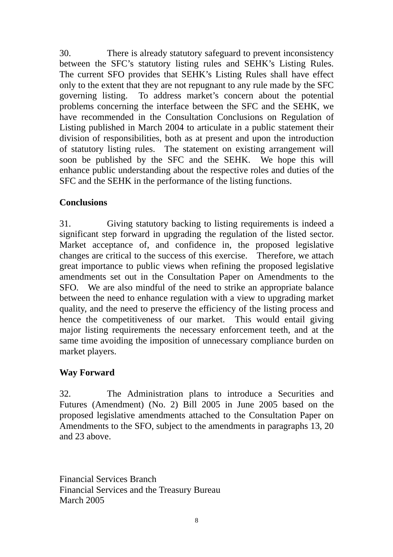30. There is already statutory safeguard to prevent inconsistency between the SFC's statutory listing rules and SEHK's Listing Rules. The current SFO provides that SEHK's Listing Rules shall have effect only to the extent that they are not repugnant to any rule made by the SFC governing listing. To address market's concern about the potential problems concerning the interface between the SFC and the SEHK, we have recommended in the Consultation Conclusions on Regulation of Listing published in March 2004 to articulate in a public statement their division of responsibilities, both as at present and upon the introduction of statutory listing rules. The statement on existing arrangement will soon be published by the SFC and the SEHK. We hope this will enhance public understanding about the respective roles and duties of the SFC and the SEHK in the performance of the listing functions.

### **Conclusions**

31. Giving statutory backing to listing requirements is indeed a significant step forward in upgrading the regulation of the listed sector. Market acceptance of, and confidence in, the proposed legislative changes are critical to the success of this exercise. Therefore, we attach great importance to public views when refining the proposed legislative amendments set out in the Consultation Paper on Amendments to the SFO. We are also mindful of the need to strike an appropriate balance between the need to enhance regulation with a view to upgrading market quality, and the need to preserve the efficiency of the listing process and hence the competitiveness of our market. This would entail giving major listing requirements the necessary enforcement teeth, and at the same time avoiding the imposition of unnecessary compliance burden on market players.

# **Way Forward**

32. The Administration plans to introduce a Securities and Futures (Amendment) (No. 2) Bill 2005 in June 2005 based on the proposed legislative amendments attached to the Consultation Paper on Amendments to the SFO, subject to the amendments in paragraphs 13, 20 and 23 above.

Financial Services Branch Financial Services and the Treasury Bureau March 2005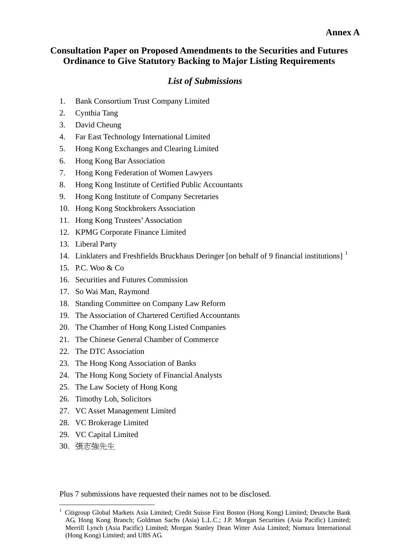#### **Annex A**

#### **Consultation Paper on Proposed Amendments to the Securities and Futures Ordinance to Give Statutory Backing to Major Listing Requirements**

#### *List of Submissions*

- 1. Bank Consortium Trust Company Limited
- 2. Cynthia Tang
- 3. David Cheung
- 4. Far East Technology International Limited
- 5. Hong Kong Exchanges and Clearing Limited
- 6. Hong Kong Bar Association
- 7. Hong Kong Federation of Women Lawyers
- 8. Hong Kong Institute of Certified Public Accountants
- 9. Hong Kong Institute of Company Secretaries
- 10. Hong Kong Stockbrokers Association
- 11. Hong Kong Trustees' Association
- 12. KPMG Corporate Finance Limited
- 13. Liberal Party
- 14. Linklaters and Freshfields Bruckhaus Deringer [on behalf of 9 financial institutions]<sup>1</sup>
- 15. P.C. Woo & Co
- 16. Securities and Futures Commission
- 17. So Wai Man, Raymond
- 18. Standing Committee on Company Law Reform
- 19. The Association of Chartered Certified Accountants
- 20. The Chamber of Hong Kong Listed Companies
- 21. The Chinese General Chamber of Commerce
- 22. The DTC Association
- 23. The Hong Kong Association of Banks
- 24. The Hong Kong Society of Financial Analysts
- 25. The Law Society of Hong Kong
- 26. Timothy Loh, Solicitors
- 27. VC Asset Management Limited
- 28. VC Brokerage Limited
- 29. VC Capital Limited
- 30. 張志強先生

 $\overline{a}$ 

Plus 7 submissions have requested their names not to be disclosed.

<sup>1</sup> Citigroup Global Markets Asia Limited; Credit Suisse First Boston (Hong Kong) Limited; Deutsche Bank AG, Hong Kong Branch; Goldman Sachs (Asia) L.L.C.; J.P. Morgan Securities (Asia Pacific) Limited; Merrill Lynch (Asia Pacific) Limited; Morgan Stanley Dean Witter Asia Limited; Nomura International (Hong Kong) Limited; and UBS AG.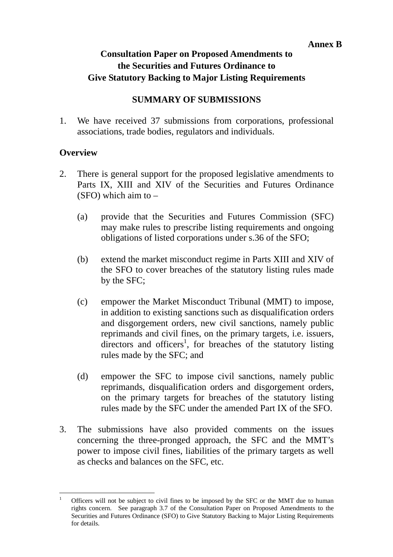# **Consultation Paper on Proposed Amendments to the Securities and Futures Ordinance to Give Statutory Backing to Major Listing Requirements**

# **SUMMARY OF SUBMISSIONS**

1. We have received 37 submissions from corporations, professional associations, trade bodies, regulators and individuals.

### **Overview**

- 2. There is general support for the proposed legislative amendments to Parts IX, XIII and XIV of the Securities and Futures Ordinance (SFO) which aim to –
	- (a) provide that the Securities and Futures Commission (SFC) may make rules to prescribe listing requirements and ongoing obligations of listed corporations under s.36 of the SFO;
	- (b) extend the market misconduct regime in Parts XIII and XIV of the SFO to cover breaches of the statutory listing rules made by the SFC;
	- (c) empower the Market Misconduct Tribunal (MMT) to impose, in addition to existing sanctions such as disqualification orders and disgorgement orders, new civil sanctions, namely public reprimands and civil fines, on the primary targets, i.e. issuers, directors and officers<sup>1</sup>, for breaches of the statutory listing rules made by the SFC; and
	- (d) empower the SFC to impose civil sanctions, namely public reprimands, disqualification orders and disgorgement orders, on the primary targets for breaches of the statutory listing rules made by the SFC under the amended Part IX of the SFO.
- 3. The submissions have also provided comments on the issues concerning the three-pronged approach, the SFC and the MMT's power to impose civil fines, liabilities of the primary targets as well as checks and balances on the SFC, etc.

 $\frac{1}{1}$  Officers will not be subject to civil fines to be imposed by the SFC or the MMT due to human rights concern. See paragraph 3.7 of the Consultation Paper on Proposed Amendments to the Securities and Futures Ordinance (SFO) to Give Statutory Backing to Major Listing Requirements for details.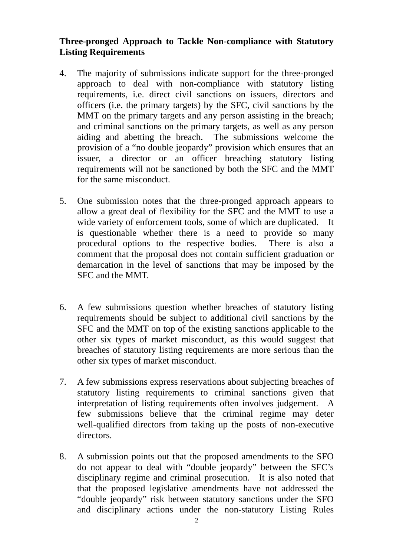## **Three-pronged Approach to Tackle Non-compliance with Statutory Listing Requirements**

- 4. The majority of submissions indicate support for the three-pronged approach to deal with non-compliance with statutory listing requirements, i.e. direct civil sanctions on issuers, directors and officers (i.e. the primary targets) by the SFC, civil sanctions by the MMT on the primary targets and any person assisting in the breach; and criminal sanctions on the primary targets, as well as any person aiding and abetting the breach. The submissions welcome the provision of a "no double jeopardy" provision which ensures that an issuer, a director or an officer breaching statutory listing requirements will not be sanctioned by both the SFC and the MMT for the same misconduct.
- 5. One submission notes that the three-pronged approach appears to allow a great deal of flexibility for the SFC and the MMT to use a wide variety of enforcement tools, some of which are duplicated. It is questionable whether there is a need to provide so many procedural options to the respective bodies. There is also a comment that the proposal does not contain sufficient graduation or demarcation in the level of sanctions that may be imposed by the SFC and the MMT.
- 6. A few submissions question whether breaches of statutory listing requirements should be subject to additional civil sanctions by the SFC and the MMT on top of the existing sanctions applicable to the other six types of market misconduct, as this would suggest that breaches of statutory listing requirements are more serious than the other six types of market misconduct.
- 7. A few submissions express reservations about subjecting breaches of statutory listing requirements to criminal sanctions given that interpretation of listing requirements often involves judgement. A few submissions believe that the criminal regime may deter well-qualified directors from taking up the posts of non-executive directors.
- 8. A submission points out that the proposed amendments to the SFO do not appear to deal with "double jeopardy" between the SFC's disciplinary regime and criminal prosecution. It is also noted that that the proposed legislative amendments have not addressed the "double jeopardy" risk between statutory sanctions under the SFO and disciplinary actions under the non-statutory Listing Rules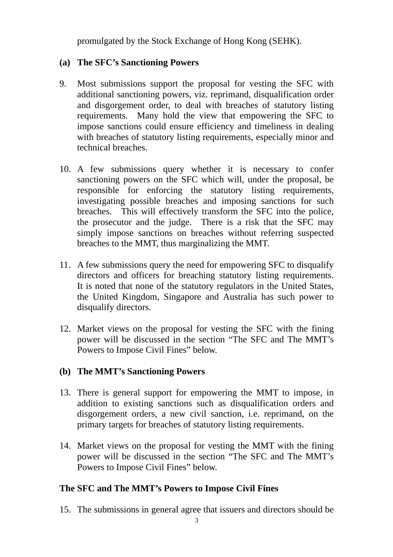promulgated by the Stock Exchange of Hong Kong (SEHK).

### **(a) The SFC's Sanctioning Powers**

- 9. Most submissions support the proposal for vesting the SFC with additional sanctioning powers, viz. reprimand, disqualification order and disgorgement order, to deal with breaches of statutory listing requirements. Many hold the view that empowering the SFC to impose sanctions could ensure efficiency and timeliness in dealing with breaches of statutory listing requirements, especially minor and technical breaches.
- 10. A few submissions query whether it is necessary to confer sanctioning powers on the SFC which will, under the proposal, be responsible for enforcing the statutory listing requirements, investigating possible breaches and imposing sanctions for such breaches. This will effectively transform the SFC into the police, the prosecutor and the judge. There is a risk that the SFC may simply impose sanctions on breaches without referring suspected breaches to the MMT, thus marginalizing the MMT.
- 11. A few submissions query the need for empowering SFC to disqualify directors and officers for breaching statutory listing requirements. It is noted that none of the statutory regulators in the United States, the United Kingdom, Singapore and Australia has such power to disqualify directors.
- 12. Market views on the proposal for vesting the SFC with the fining power will be discussed in the section "The SFC and The MMT's Powers to Impose Civil Fines" below.

### **(b) The MMT's Sanctioning Powers**

- 13. There is general support for empowering the MMT to impose, in addition to existing sanctions such as disqualification orders and disgorgement orders, a new civil sanction, i.e. reprimand, on the primary targets for breaches of statutory listing requirements.
- 14. Market views on the proposal for vesting the MMT with the fining power will be discussed in the section "The SFC and The MMT's Powers to Impose Civil Fines" below.

# **The SFC and The MMT's Powers to Impose Civil Fines**

15. The submissions in general agree that issuers and directors should be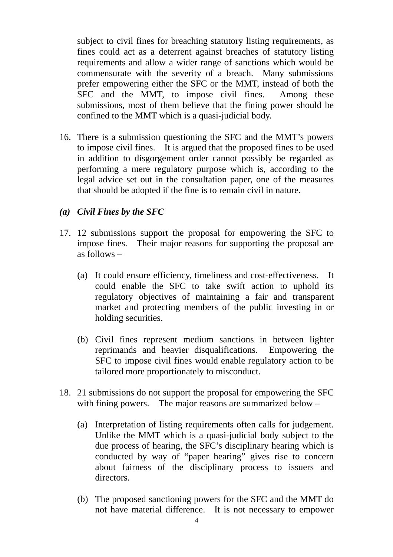subject to civil fines for breaching statutory listing requirements, as fines could act as a deterrent against breaches of statutory listing requirements and allow a wider range of sanctions which would be commensurate with the severity of a breach. Many submissions prefer empowering either the SFC or the MMT, instead of both the SFC and the MMT, to impose civil fines. Among these submissions, most of them believe that the fining power should be confined to the MMT which is a quasi-judicial body.

- 16. There is a submission questioning the SFC and the MMT's powers to impose civil fines. It is argued that the proposed fines to be used in addition to disgorgement order cannot possibly be regarded as performing a mere regulatory purpose which is, according to the legal advice set out in the consultation paper, one of the measures that should be adopted if the fine is to remain civil in nature.
- *(a) Civil Fines by the SFC*
- 17. 12 submissions support the proposal for empowering the SFC to impose fines. Their major reasons for supporting the proposal are as follows –
	- (a) It could ensure efficiency, timeliness and cost-effectiveness. It could enable the SFC to take swift action to uphold its regulatory objectives of maintaining a fair and transparent market and protecting members of the public investing in or holding securities.
	- (b) Civil fines represent medium sanctions in between lighter reprimands and heavier disqualifications. Empowering the SFC to impose civil fines would enable regulatory action to be tailored more proportionately to misconduct.
- 18. 21 submissions do not support the proposal for empowering the SFC with fining powers. The major reasons are summarized below –
	- (a) Interpretation of listing requirements often calls for judgement. Unlike the MMT which is a quasi-judicial body subject to the due process of hearing, the SFC's disciplinary hearing which is conducted by way of "paper hearing" gives rise to concern about fairness of the disciplinary process to issuers and directors.
	- (b) The proposed sanctioning powers for the SFC and the MMT do not have material difference. It is not necessary to empower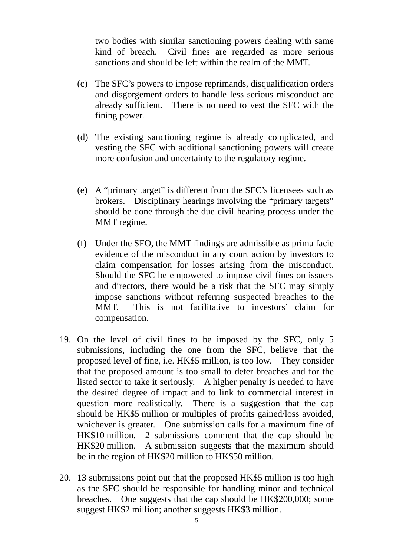two bodies with similar sanctioning powers dealing with same kind of breach. Civil fines are regarded as more serious sanctions and should be left within the realm of the MMT.

- (c) The SFC's powers to impose reprimands, disqualification orders and disgorgement orders to handle less serious misconduct are already sufficient. There is no need to vest the SFC with the fining power.
- (d) The existing sanctioning regime is already complicated, and vesting the SFC with additional sanctioning powers will create more confusion and uncertainty to the regulatory regime.
- (e) A "primary target" is different from the SFC's licensees such as brokers. Disciplinary hearings involving the "primary targets" should be done through the due civil hearing process under the MMT regime.
- (f) Under the SFO, the MMT findings are admissible as prima facie evidence of the misconduct in any court action by investors to claim compensation for losses arising from the misconduct. Should the SFC be empowered to impose civil fines on issuers and directors, there would be a risk that the SFC may simply impose sanctions without referring suspected breaches to the MMT. This is not facilitative to investors' claim for compensation.
- 19. On the level of civil fines to be imposed by the SFC, only 5 submissions, including the one from the SFC, believe that the proposed level of fine, i.e. HK\$5 million, is too low. They consider that the proposed amount is too small to deter breaches and for the listed sector to take it seriously. A higher penalty is needed to have the desired degree of impact and to link to commercial interest in question more realistically. There is a suggestion that the cap should be HK\$5 million or multiples of profits gained/loss avoided, whichever is greater. One submission calls for a maximum fine of HK\$10 million. 2 submissions comment that the cap should be HK\$20 million. A submission suggests that the maximum should be in the region of HK\$20 million to HK\$50 million.
- 20. 13 submissions point out that the proposed HK\$5 million is too high as the SFC should be responsible for handling minor and technical breaches. One suggests that the cap should be HK\$200,000; some suggest HK\$2 million; another suggests HK\$3 million.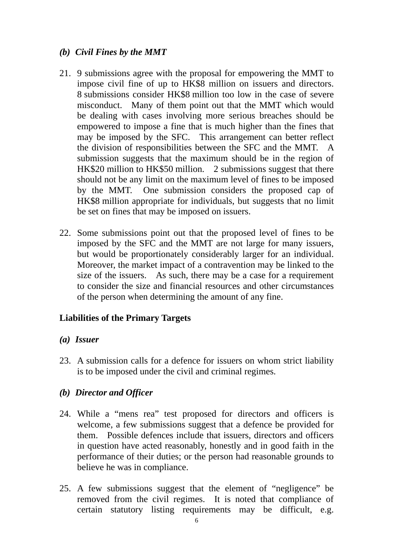### *(b) Civil Fines by the MMT*

- 21. 9 submissions agree with the proposal for empowering the MMT to impose civil fine of up to HK\$8 million on issuers and directors. 8 submissions consider HK\$8 million too low in the case of severe misconduct. Many of them point out that the MMT which would be dealing with cases involving more serious breaches should be empowered to impose a fine that is much higher than the fines that may be imposed by the SFC. This arrangement can better reflect the division of responsibilities between the SFC and the MMT. A submission suggests that the maximum should be in the region of HK\$20 million to HK\$50 million. 2 submissions suggest that there should not be any limit on the maximum level of fines to be imposed by the MMT. One submission considers the proposed cap of HK\$8 million appropriate for individuals, but suggests that no limit be set on fines that may be imposed on issuers.
- 22. Some submissions point out that the proposed level of fines to be imposed by the SFC and the MMT are not large for many issuers, but would be proportionately considerably larger for an individual. Moreover, the market impact of a contravention may be linked to the size of the issuers. As such, there may be a case for a requirement to consider the size and financial resources and other circumstances of the person when determining the amount of any fine.

# **Liabilities of the Primary Targets**

### *(a) Issuer*

23. A submission calls for a defence for issuers on whom strict liability is to be imposed under the civil and criminal regimes.

### *(b) Director and Officer*

- 24. While a "mens rea" test proposed for directors and officers is welcome, a few submissions suggest that a defence be provided for them. Possible defences include that issuers, directors and officers in question have acted reasonably, honestly and in good faith in the performance of their duties; or the person had reasonable grounds to believe he was in compliance.
- 25. A few submissions suggest that the element of "negligence" be removed from the civil regimes. It is noted that compliance of certain statutory listing requirements may be difficult, e.g.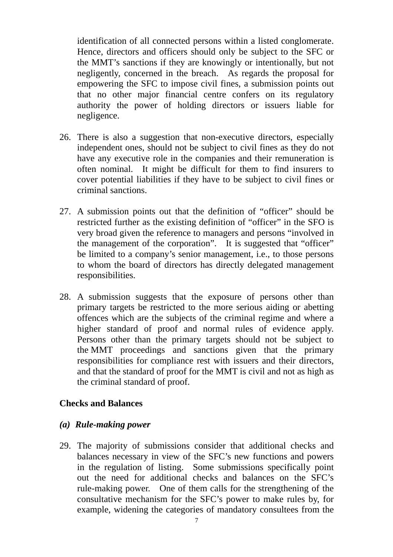identification of all connected persons within a listed conglomerate. Hence, directors and officers should only be subject to the SFC or the MMT's sanctions if they are knowingly or intentionally, but not negligently, concerned in the breach. As regards the proposal for empowering the SFC to impose civil fines, a submission points out that no other major financial centre confers on its regulatory authority the power of holding directors or issuers liable for negligence.

- 26. There is also a suggestion that non-executive directors, especially independent ones, should not be subject to civil fines as they do not have any executive role in the companies and their remuneration is often nominal. It might be difficult for them to find insurers to cover potential liabilities if they have to be subject to civil fines or criminal sanctions.
- 27. A submission points out that the definition of "officer" should be restricted further as the existing definition of "officer" in the SFO is very broad given the reference to managers and persons "involved in the management of the corporation". It is suggested that "officer" be limited to a company's senior management, i.e., to those persons to whom the board of directors has directly delegated management responsibilities.
- 28. A submission suggests that the exposure of persons other than primary targets be restricted to the more serious aiding or abetting offences which are the subjects of the criminal regime and where a higher standard of proof and normal rules of evidence apply. Persons other than the primary targets should not be subject to the MMT proceedings and sanctions given that the primary responsibilities for compliance rest with issuers and their directors, and that the standard of proof for the MMT is civil and not as high as the criminal standard of proof.

#### **Checks and Balances**

#### *(a) Rule-making power*

29. The majority of submissions consider that additional checks and balances necessary in view of the SFC's new functions and powers in the regulation of listing. Some submissions specifically point out the need for additional checks and balances on the SFC's rule-making power. One of them calls for the strengthening of the consultative mechanism for the SFC's power to make rules by, for example, widening the categories of mandatory consultees from the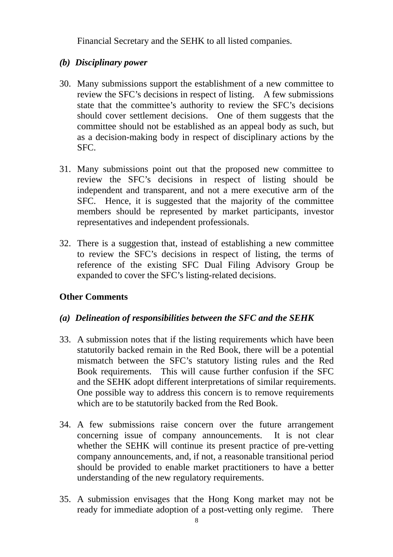Financial Secretary and the SEHK to all listed companies.

### *(b) Disciplinary power*

- 30. Many submissions support the establishment of a new committee to review the SFC's decisions in respect of listing. A few submissions state that the committee's authority to review the SFC's decisions should cover settlement decisions. One of them suggests that the committee should not be established as an appeal body as such, but as a decision-making body in respect of disciplinary actions by the SFC.
- 31. Many submissions point out that the proposed new committee to review the SFC's decisions in respect of listing should be independent and transparent, and not a mere executive arm of the SFC. Hence, it is suggested that the majority of the committee members should be represented by market participants, investor representatives and independent professionals.
- 32. There is a suggestion that, instead of establishing a new committee to review the SFC's decisions in respect of listing, the terms of reference of the existing SFC Dual Filing Advisory Group be expanded to cover the SFC's listing-related decisions.

# **Other Comments**

### *(a) Delineation of responsibilities between the SFC and the SEHK*

- 33. A submission notes that if the listing requirements which have been statutorily backed remain in the Red Book, there will be a potential mismatch between the SFC's statutory listing rules and the Red Book requirements. This will cause further confusion if the SFC and the SEHK adopt different interpretations of similar requirements. One possible way to address this concern is to remove requirements which are to be statutorily backed from the Red Book.
- 34. A few submissions raise concern over the future arrangement concerning issue of company announcements. It is not clear whether the SEHK will continue its present practice of pre-vetting company announcements, and, if not, a reasonable transitional period should be provided to enable market practitioners to have a better understanding of the new regulatory requirements.
- 35. A submission envisages that the Hong Kong market may not be ready for immediate adoption of a post-vetting only regime. There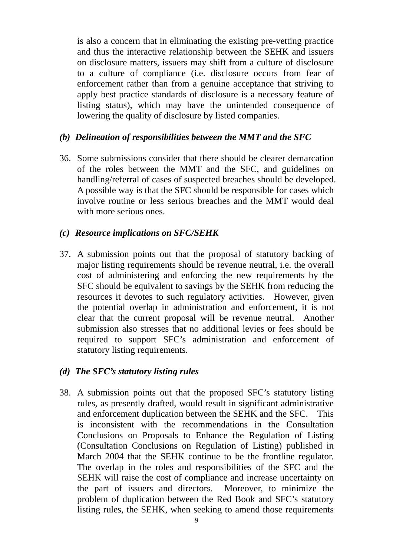is also a concern that in eliminating the existing pre-vetting practice and thus the interactive relationship between the SEHK and issuers on disclosure matters, issuers may shift from a culture of disclosure to a culture of compliance (i.e. disclosure occurs from fear of enforcement rather than from a genuine acceptance that striving to apply best practice standards of disclosure is a necessary feature of listing status), which may have the unintended consequence of lowering the quality of disclosure by listed companies.

#### *(b) Delineation of responsibilities between the MMT and the SFC*

36. Some submissions consider that there should be clearer demarcation of the roles between the MMT and the SFC, and guidelines on handling/referral of cases of suspected breaches should be developed. A possible way is that the SFC should be responsible for cases which involve routine or less serious breaches and the MMT would deal with more serious ones.

#### *(c) Resource implications on SFC/SEHK*

37. A submission points out that the proposal of statutory backing of major listing requirements should be revenue neutral, i.e. the overall cost of administering and enforcing the new requirements by the SFC should be equivalent to savings by the SEHK from reducing the resources it devotes to such regulatory activities. However, given the potential overlap in administration and enforcement, it is not clear that the current proposal will be revenue neutral. Another submission also stresses that no additional levies or fees should be required to support SFC's administration and enforcement of statutory listing requirements.

#### *(d) The SFC's statutory listing rules*

38. A submission points out that the proposed SFC's statutory listing rules, as presently drafted, would result in significant administrative and enforcement duplication between the SEHK and the SFC. This is inconsistent with the recommendations in the Consultation Conclusions on Proposals to Enhance the Regulation of Listing (Consultation Conclusions on Regulation of Listing) published in March 2004 that the SEHK continue to be the frontline regulator. The overlap in the roles and responsibilities of the SFC and the SEHK will raise the cost of compliance and increase uncertainty on the part of issuers and directors. Moreover, to minimize the problem of duplication between the Red Book and SFC's statutory listing rules, the SEHK, when seeking to amend those requirements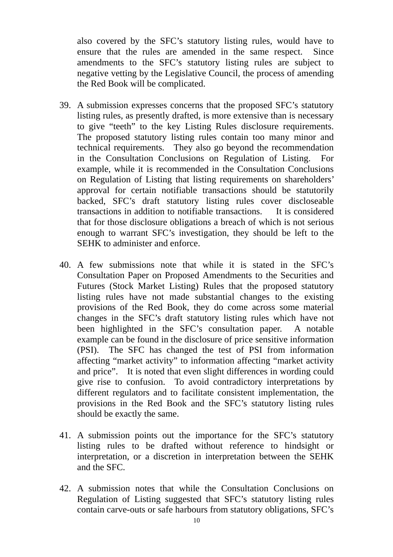also covered by the SFC's statutory listing rules, would have to ensure that the rules are amended in the same respect. Since amendments to the SFC's statutory listing rules are subject to negative vetting by the Legislative Council, the process of amending the Red Book will be complicated.

- 39. A submission expresses concerns that the proposed SFC's statutory listing rules, as presently drafted, is more extensive than is necessary to give "teeth" to the key Listing Rules disclosure requirements. The proposed statutory listing rules contain too many minor and technical requirements. They also go beyond the recommendation in the Consultation Conclusions on Regulation of Listing. For example, while it is recommended in the Consultation Conclusions on Regulation of Listing that listing requirements on shareholders' approval for certain notifiable transactions should be statutorily backed, SFC's draft statutory listing rules cover discloseable transactions in addition to notifiable transactions. It is considered that for those disclosure obligations a breach of which is not serious enough to warrant SFC's investigation, they should be left to the SEHK to administer and enforce.
- 40. A few submissions note that while it is stated in the SFC's Consultation Paper on Proposed Amendments to the Securities and Futures (Stock Market Listing) Rules that the proposed statutory listing rules have not made substantial changes to the existing provisions of the Red Book, they do come across some material changes in the SFC's draft statutory listing rules which have not been highlighted in the SFC's consultation paper. A notable example can be found in the disclosure of price sensitive information (PSI). The SFC has changed the test of PSI from information affecting "market activity" to information affecting "market activity and price". It is noted that even slight differences in wording could give rise to confusion. To avoid contradictory interpretations by different regulators and to facilitate consistent implementation, the provisions in the Red Book and the SFC's statutory listing rules should be exactly the same.
- 41. A submission points out the importance for the SFC's statutory listing rules to be drafted without reference to hindsight or interpretation, or a discretion in interpretation between the SEHK and the SFC.
- 42. A submission notes that while the Consultation Conclusions on Regulation of Listing suggested that SFC's statutory listing rules contain carve-outs or safe harbours from statutory obligations, SFC's